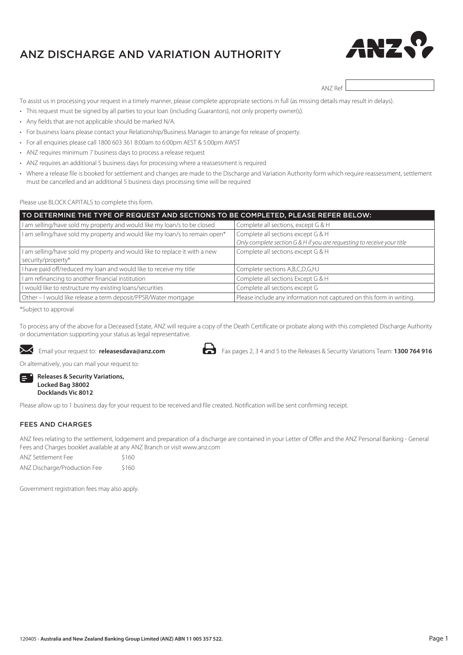# ANZ DISCHARGE AND VARIATION AUTHORITY



ANZ Ref

To assist us in processing your request in a timely manner, please complete appropriate sections in full (as missing details may result in delays).

- This request must be signed by all parties to your loan (including Guarantors), not only property owner(s).
- Any fields that are not applicable should be marked N/A.
- For business loans please contact your Relationship/Business Manager to arrange for release of property.
- For all enquiries please call 1800 603 361 8:00am to 6:00pm AEST & 5:00pm AWST
- ANZ requires minimum 7 business days to process a release request
- ANZ requires an additional 5 business days for processing where a reassessment is required
- Where a release file is booked for settlement and changes are made to the Discharge and Variation Authority form which require reassessment, settlement must be cancelled and an additional 5 business days processing time will be required

Please use BLOCK CAPITALS to complete this form.

| TO DETERMINE THE TYPE OF REQUEST AND SECTIONS TO BE COMPLETED, PLEASE REFER BELOW:               |                                                                                                               |
|--------------------------------------------------------------------------------------------------|---------------------------------------------------------------------------------------------------------------|
| I am selling/have sold my property and would like my loan/s to be closed                         | Complete all sections, except G & H                                                                           |
| I am selling/have sold my property and would like my loan/s to remain open*                      | Complete all sections except G & H<br>Only complete section G & H if you are requesting to receive your title |
| I am selling/have sold my property and would like to replace it with a new<br>security/property* | Complete all sections except G & H                                                                            |
| I have paid off/reduced my loan and would like to receive my title                               | Complete sections A,B,C,D,G,H,I                                                                               |
| I am refinancing to another financial institution                                                | Complete all sections Except G & H                                                                            |
| I would like to restructure my existing loans/securities                                         | Complete all sections except G                                                                                |
| Other - I would like release a term deposit/PPSR/Water mortgage                                  | Please include any information not captured on this form in writing.                                          |

\*Subject to approval

To process any of the above for a Deceased Estate, ANZ will require a copy of the Death Certificate or probate along with this completed Discharge Authority or documentation supporting your status as legal representative.





Email your request to: **releasesdava@anz.com** Fax pages 2, 3 4 and 5 to the Releases & Security Variations Team: **1300 764 916** 

Or alternatively, you can mail your request to:

**Releases & Security Variations, Locked Bag 38002 Docklands Vic 8012**

Please allow up to 1 business day for your request to be received and file created. Notification will be sent confirming receipt.

## FEES AND CHARGES

ANZ fees relating to the settlement, lodgement and preparation of a discharge are contained in your Letter of Offer and the ANZ Personal Banking - General Fees and Charges booklet available at any ANZ Branch or visit www.anz.com

| ANZ Settlement Fee           | \$160 |
|------------------------------|-------|
| ANZ Discharge/Production Fee | \$160 |

Government registration fees may also apply.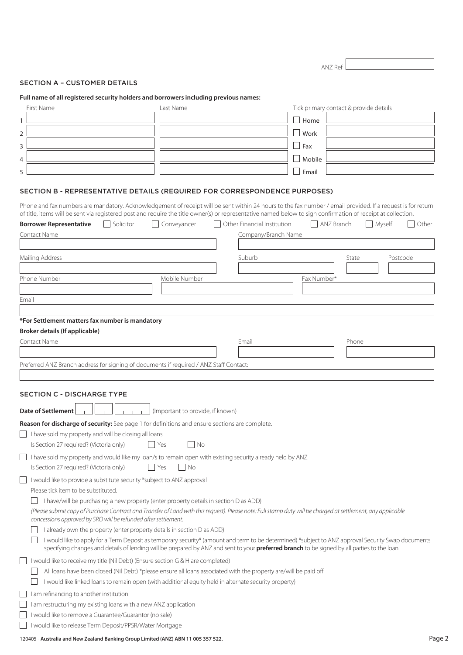ANZ Ref

# SECTION A – CUSTOMER DETAILS

# **Full name of all registered security holders and borrowers including previous names:**

| First Name                                                                                                                                                                                                                                                                                                                  | Last Name                                                                                                                                                                                                                                                                                                  |                             |                            | Tick primary contact & provide details |                        |
|-----------------------------------------------------------------------------------------------------------------------------------------------------------------------------------------------------------------------------------------------------------------------------------------------------------------------------|------------------------------------------------------------------------------------------------------------------------------------------------------------------------------------------------------------------------------------------------------------------------------------------------------------|-----------------------------|----------------------------|----------------------------------------|------------------------|
| 1                                                                                                                                                                                                                                                                                                                           |                                                                                                                                                                                                                                                                                                            |                             | $\Box$ Home                |                                        |                        |
| $\overline{2}$                                                                                                                                                                                                                                                                                                              |                                                                                                                                                                                                                                                                                                            |                             | $\mathcal{L}$<br>Work      |                                        |                        |
| 3                                                                                                                                                                                                                                                                                                                           |                                                                                                                                                                                                                                                                                                            |                             | $\Box$ Fax                 |                                        |                        |
| 4                                                                                                                                                                                                                                                                                                                           |                                                                                                                                                                                                                                                                                                            |                             | Mobile                     |                                        |                        |
|                                                                                                                                                                                                                                                                                                                             |                                                                                                                                                                                                                                                                                                            |                             |                            |                                        |                        |
| 5                                                                                                                                                                                                                                                                                                                           |                                                                                                                                                                                                                                                                                                            |                             | Email                      |                                        |                        |
| SECTION B - REPRESENTATIVE DETAILS (REQUIRED FOR CORRESPONDENCE PURPOSES)                                                                                                                                                                                                                                                   |                                                                                                                                                                                                                                                                                                            |                             |                            |                                        |                        |
| Phone and fax numbers are mandatory. Acknowledgement of receipt will be sent within 24 hours to the fax number / email provided. If a request is for return<br>of title, items will be sent via registered post and require the title owner(s) or representative named below to sign confirmation of receipt at collection. |                                                                                                                                                                                                                                                                                                            |                             |                            |                                        |                        |
| <b>Borrower Representative</b><br>$\Box$                                                                                                                                                                                                                                                                                    | Solicitor<br>$\Box$ Conveyancer                                                                                                                                                                                                                                                                            | Other Financial Institution | ANZ Branch<br>$\mathbf{I}$ | Myself                                 | Other<br>$\mathcal{L}$ |
| Contact Name                                                                                                                                                                                                                                                                                                                |                                                                                                                                                                                                                                                                                                            | Company/Branch Name         |                            |                                        |                        |
|                                                                                                                                                                                                                                                                                                                             |                                                                                                                                                                                                                                                                                                            |                             |                            |                                        |                        |
| Mailing Address                                                                                                                                                                                                                                                                                                             |                                                                                                                                                                                                                                                                                                            | Suburb                      |                            | Postcode<br>State                      |                        |
|                                                                                                                                                                                                                                                                                                                             |                                                                                                                                                                                                                                                                                                            |                             |                            |                                        |                        |
| Phone Number                                                                                                                                                                                                                                                                                                                | Mobile Number                                                                                                                                                                                                                                                                                              |                             | Fax Number*                |                                        |                        |
|                                                                                                                                                                                                                                                                                                                             |                                                                                                                                                                                                                                                                                                            |                             |                            |                                        |                        |
| Email                                                                                                                                                                                                                                                                                                                       |                                                                                                                                                                                                                                                                                                            |                             |                            |                                        |                        |
|                                                                                                                                                                                                                                                                                                                             |                                                                                                                                                                                                                                                                                                            |                             |                            |                                        |                        |
| *For Settlement matters fax number is mandatory                                                                                                                                                                                                                                                                             |                                                                                                                                                                                                                                                                                                            |                             |                            |                                        |                        |
| <b>Broker details (If applicable)</b><br><b>Contact Name</b>                                                                                                                                                                                                                                                                |                                                                                                                                                                                                                                                                                                            | Email                       |                            | Phone                                  |                        |
|                                                                                                                                                                                                                                                                                                                             |                                                                                                                                                                                                                                                                                                            |                             |                            |                                        |                        |
|                                                                                                                                                                                                                                                                                                                             |                                                                                                                                                                                                                                                                                                            |                             |                            |                                        |                        |
| Preferred ANZ Branch address for signing of documents if required / ANZ Staff Contact:                                                                                                                                                                                                                                      |                                                                                                                                                                                                                                                                                                            |                             |                            |                                        |                        |
|                                                                                                                                                                                                                                                                                                                             |                                                                                                                                                                                                                                                                                                            |                             |                            |                                        |                        |
| <b>SECTION C - DISCHARGE TYPE</b>                                                                                                                                                                                                                                                                                           |                                                                                                                                                                                                                                                                                                            |                             |                            |                                        |                        |
|                                                                                                                                                                                                                                                                                                                             |                                                                                                                                                                                                                                                                                                            |                             |                            |                                        |                        |
| <b>Date of Settlement</b>                                                                                                                                                                                                                                                                                                   | (Important to provide, if known)                                                                                                                                                                                                                                                                           |                             |                            |                                        |                        |
| Reason for discharge of security: See page 1 for definitions and ensure sections are complete.                                                                                                                                                                                                                              |                                                                                                                                                                                                                                                                                                            |                             |                            |                                        |                        |
| $\Box$ I have sold my property and will be closing all loans                                                                                                                                                                                                                                                                |                                                                                                                                                                                                                                                                                                            |                             |                            |                                        |                        |
| Is Section 27 required? (Victoria only)                                                                                                                                                                                                                                                                                     | <b>No</b><br>Yes                                                                                                                                                                                                                                                                                           |                             |                            |                                        |                        |
| Is Section 27 required? (Victoria only)                                                                                                                                                                                                                                                                                     | I have sold my property and would like my loan/s to remain open with existing security already held by ANZ<br>Yes<br>No                                                                                                                                                                                    |                             |                            |                                        |                        |
|                                                                                                                                                                                                                                                                                                                             | I would like to provide a substitute security *subject to ANZ approval                                                                                                                                                                                                                                     |                             |                            |                                        |                        |
| Please tick item to be substituted.                                                                                                                                                                                                                                                                                         |                                                                                                                                                                                                                                                                                                            |                             |                            |                                        |                        |
|                                                                                                                                                                                                                                                                                                                             | I have/will be purchasing a new property (enter property details in section D as ADD)                                                                                                                                                                                                                      |                             |                            |                                        |                        |
| concessions approved by SRO will be refunded after settlement.                                                                                                                                                                                                                                                              | (Please submit copy of Purchase Contract and Transfer of Land with this request). Please note: Full stamp duty will be charged at settlement, any applicable                                                                                                                                               |                             |                            |                                        |                        |
|                                                                                                                                                                                                                                                                                                                             | I already own the property (enter property details in section D as ADD)                                                                                                                                                                                                                                    |                             |                            |                                        |                        |
|                                                                                                                                                                                                                                                                                                                             | I would like to apply for a Term Deposit as temporary security* (amount and term to be determined) *subject to ANZ approval Security Swap documents<br>specifying changes and details of lending will be prepared by ANZ and sent to your <b>preferred branch</b> to be signed by all parties to the loan. |                             |                            |                                        |                        |
| $\Box$ I would like to receive my title (Nil Debt) (Ensure section G & H are completed)                                                                                                                                                                                                                                     |                                                                                                                                                                                                                                                                                                            |                             |                            |                                        |                        |
|                                                                                                                                                                                                                                                                                                                             | All loans have been closed (Nil Debt) *please ensure all loans associated with the property are/will be paid off                                                                                                                                                                                           |                             |                            |                                        |                        |
|                                                                                                                                                                                                                                                                                                                             | I would like linked loans to remain open (with additional equity held in alternate security property)                                                                                                                                                                                                      |                             |                            |                                        |                        |
| $\Box$ I am refinancing to another institution                                                                                                                                                                                                                                                                              |                                                                                                                                                                                                                                                                                                            |                             |                            |                                        |                        |
| $\Box$ I am restructuring my existing loans with a new ANZ application                                                                                                                                                                                                                                                      |                                                                                                                                                                                                                                                                                                            |                             |                            |                                        |                        |
| I would like to remove a Guarantee/Guarantor (no sale)                                                                                                                                                                                                                                                                      |                                                                                                                                                                                                                                                                                                            |                             |                            |                                        |                        |
| I would like to release Term Deposit/PPSR/Water Mortgage                                                                                                                                                                                                                                                                    |                                                                                                                                                                                                                                                                                                            |                             |                            |                                        |                        |
| 120405 - Australia and New Zealand Banking Group Limited (ANZ) ABN 11 005 357 522.                                                                                                                                                                                                                                          |                                                                                                                                                                                                                                                                                                            |                             |                            |                                        | Page 2                 |
|                                                                                                                                                                                                                                                                                                                             |                                                                                                                                                                                                                                                                                                            |                             |                            |                                        |                        |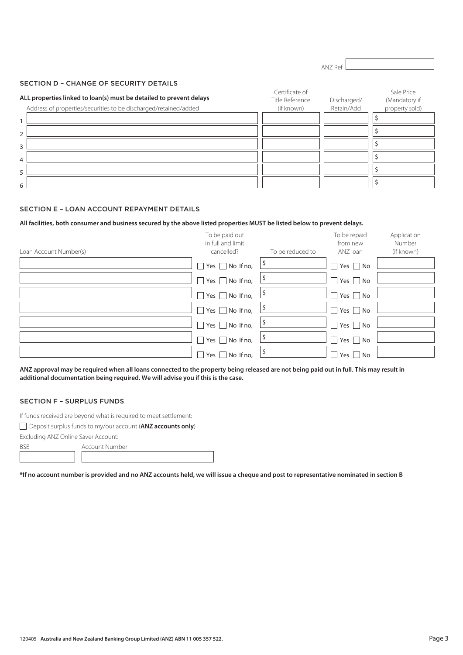ANZ Ref

#### SECTION D – CHANGE OF SECURITY DETAILS

|               | ALL properties linked to loan(s) must be detailed to prevent delays | Certificate of<br>Title Reference | Discharged/ | Sale Price<br>(Mandatory if |
|---------------|---------------------------------------------------------------------|-----------------------------------|-------------|-----------------------------|
|               | Address of properties/securities to be discharged/retained/added    | (if known)                        | Retain/Add  | property sold)              |
|               |                                                                     |                                   |             |                             |
| $\mathcal{P}$ |                                                                     |                                   |             |                             |
| २             |                                                                     |                                   |             |                             |
| 4             |                                                                     |                                   |             |                             |
| 5             |                                                                     |                                   |             |                             |
| 6             |                                                                     |                                   |             |                             |

## SECTION E – LOAN ACCOUNT REPAYMENT DETAILS

## **All facilities, both consumer and business secured by the above listed properties MUST be listed below to prevent delays.**

| Loan Account Number(s) | To be paid out<br>in full and limit<br>cancelled? | To be reduced to | To be repaid<br>from new<br>ANZ loan | Application<br>Number<br>(if known) |
|------------------------|---------------------------------------------------|------------------|--------------------------------------|-------------------------------------|
|                        | Yes $\Box$ No If no,                              |                  | Yes $\Box$ No                        |                                     |
|                        | Yes $\Box$ No If no,                              |                  | Yes $\Box$ No                        |                                     |
|                        | $\Box$ Yes $\Box$ No If no,                       |                  | Yes $\Box$ No                        |                                     |
|                        | Yes $\Box$<br>No If no,                           |                  | $\Box$ Yes $\Box$ No                 |                                     |
|                        | Yes $\Box$ No If no,                              |                  | Yes $\Box$ No                        |                                     |
|                        | Yes $\Box$ No If no,                              |                  | Yes $\Box$ No                        |                                     |
|                        | Yes<br>No If no,                                  |                  | $Yes \mid No$                        |                                     |

**ANZ approval may be required when all loans connected to the property being released are not being paid out in full. This may result in additional documentation being required. We will advise you if this is the case.**

#### SECTION F – SURPLUS FUNDS

If funds received are beyond what is required to meet settlement:

Deposit surplus funds to my/our account (**ANZ accounts only**)

Excluding ANZ Online Saver Account:

BSB Account Number

**\*If no account number is provided and no ANZ accounts held, we will issue a cheque and post to representative nominated in section B**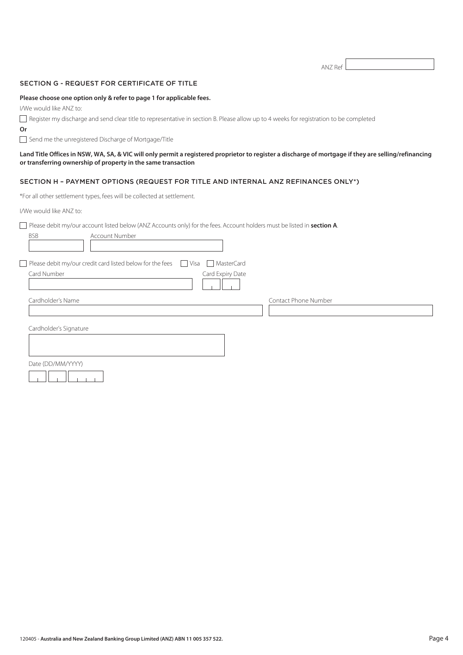| ٨<br>ハロフ<br>$\vee$<br>1 |  |
|-------------------------|--|
| ___                     |  |

#### SECTION G - REQUEST FOR CERTIFICATE OF TITLE

#### **Please choose one option only & refer to page 1 for applicable fees.**

I/We would like ANZ to:

Register my discharge and send clear title to representative in section B. Please allow up to 4 weeks for registration to be completed

**Or**

Send me the unregistered Discharge of Mortgage/Title

#### **Land Title Offices in NSW, WA, SA, & VIC will only permit a registered proprietor to register a discharge of mortgage if they are selling/refinancing or transferring ownership of property in the same transaction**

### SECTION H – PAYMENT OPTIONS (REQUEST FOR TITLE AND INTERNAL ANZ REFINANCES ONLY\*)

\*For all other settlement types, fees will be collected at settlement.

I/We would like ANZ to:

Please debit my/our account listed below (ANZ Accounts only) for the fees. Account holders must be listed in **section A**.

| <b>BSB</b><br>Account Number                                                    |                  |                      |
|---------------------------------------------------------------------------------|------------------|----------------------|
| □ Please debit my/our credit card listed below for the fees □ Visa □ MasterCard |                  |                      |
| Card Number                                                                     | Card Expiry Date |                      |
| Cardholder's Name                                                               |                  | Contact Phone Number |
|                                                                                 |                  |                      |
| Cardholder's Signature                                                          |                  |                      |
|                                                                                 |                  |                      |
| Date (DD/MM/YYYY)                                                               |                  |                      |
|                                                                                 |                  |                      |